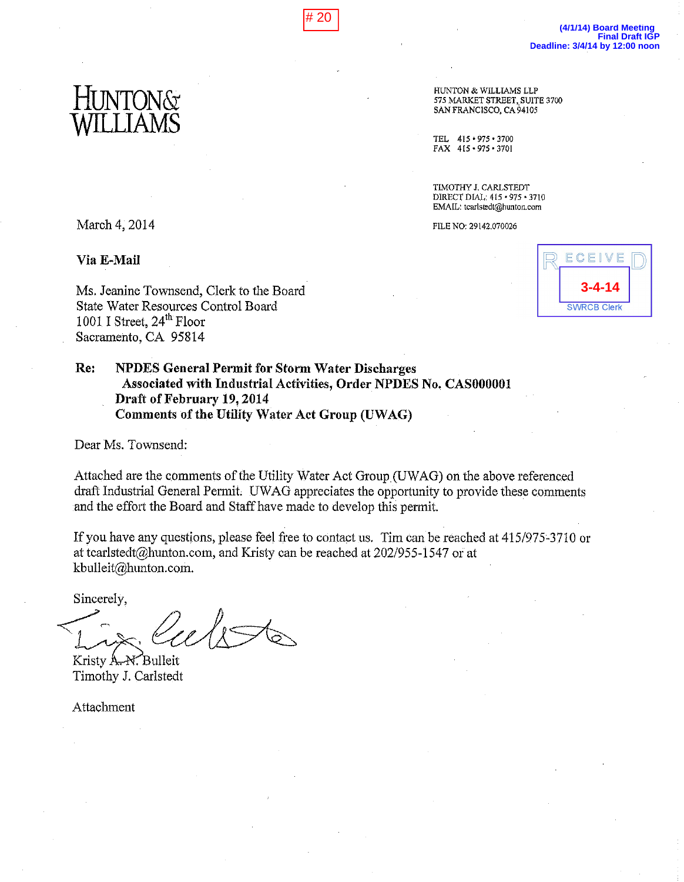# 20

HUNTON & WILLIAMS LLP 575 MARKET STREET, SUITE 3700 SAN FRANCISCO, CA 94105

415 + 975 + 3700 TEL. FAX 415 · 975 · 3701

TIMOTHY J. CARLSTEDT DIRECT DIAL: 415 · 975 · 3710 EMAIL: tcarlstedt@hunton.com

FILE NO: 29142.070026

March 4, 2014

Via E-Mail

Ms. Jeanine Townsend, Clerk to the Board **State Water Resources Control Board** 1001 I Street, 24<sup>th</sup> Floor Sacramento, CA 95814

Re: **NPDES General Permit for Storm Water Discharges** Associated with Industrial Activities, Order NPDES No. CAS000001 Draft of February 19, 2014 **Comments of the Utility Water Act Group (UWAG)** 

Dear Ms. Townsend:

Attached are the comments of the Utility Water Act Group (UWAG) on the above referenced draft Industrial General Permit. UWAG appreciates the opportunity to provide these comments and the effort the Board and Staff have made to develop this permit.

If you have any questions, please feel free to contact us. Tim can be reached at 415/975-3710 or at tearlstedt@hunton.com, and Kristy can be reached at 202/955-1547 or at kbulleit@hunton.com.

Sincerely,

Kristy A. N. Bulleit Timothy J. Carlstedt

Attachment

ECEIVE **3-4-14 SWRCB Clerk**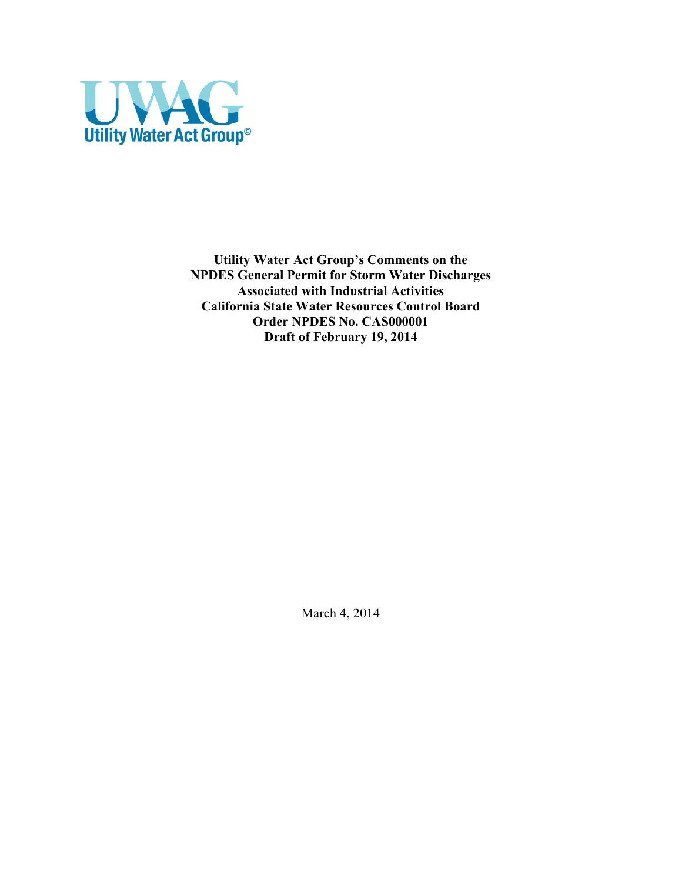

**Utility Water Act Group's Comments on the NPDES General Permit for Storm Water Discharges Associated with Industrial Activities California State Water Resources Control Board Order NPDES No. CAS000001 Draft of February 19, 2014**

March 4, 2014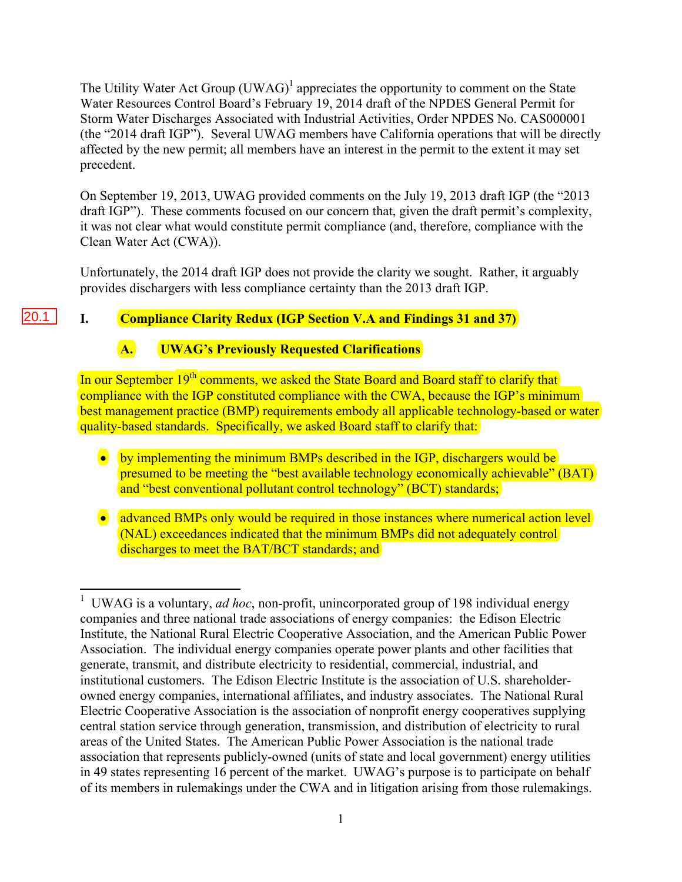The Utility Water Act Group  $(UWAG)^{1}$  appreciates the opportunity to comment on the State Water Resources Control Board's February 19, 2014 draft of the NPDES General Permit for Storm Water Discharges Associated with Industrial Activities, Order NPDES No. CAS000001 (the "2014 draft IGP"). Several UWAG members have California operations that will be directly affected by the new permit; all members have an interest in the permit to the extent it may set precedent.

On September 19, 2013, UWAG provided comments on the July 19, 2013 draft IGP (the "2013 draft IGP"). These comments focused on our concern that, given the draft permit's complexity, it was not clear what would constitute permit compliance (and, therefore, compliance with the Clean Water Act (CWA)).

Unfortunately, the 2014 draft IGP does not provide the clarity we sought. Rather, it arguably provides dischargers with less compliance certainty than the 2013 draft IGP.

# **I. Compliance Clarity Redux (IGP Section V.A and Findings 31 and 37)**

## **A. UWAG's Previously Requested Clarifications**

 $\overline{a}$ 

20.1

In our September 19<sup>th</sup> comments, we asked the State Board and Board staff to clarify that compliance with the IGP constituted compliance with the CWA, because the IGP's minimum best management practice (BMP) requirements embody all applicable technology-based or water quality-based standards. Specifically, we asked Board staff to clarify that:

- by implementing the minimum BMPs described in the IGP, dischargers would be presumed to be meeting the "best available technology economically achievable" (BAT) and "best conventional pollutant control technology" (BCT) standards;
- advanced BMPs only would be required in those instances where numerical action level (NAL) exceedances indicated that the minimum BMPs did not adequately control discharges to meet the BAT/BCT standards; and

<sup>1</sup> UWAG is a voluntary, *ad hoc*, non-profit, unincorporated group of 198 individual energy companies and three national trade associations of energy companies: the Edison Electric Institute, the National Rural Electric Cooperative Association, and the American Public Power Association. The individual energy companies operate power plants and other facilities that generate, transmit, and distribute electricity to residential, commercial, industrial, and institutional customers. The Edison Electric Institute is the association of U.S. shareholderowned energy companies, international affiliates, and industry associates. The National Rural Electric Cooperative Association is the association of nonprofit energy cooperatives supplying central station service through generation, transmission, and distribution of electricity to rural areas of the United States. The American Public Power Association is the national trade association that represents publicly-owned (units of state and local government) energy utilities in 49 states representing 16 percent of the market. UWAG's purpose is to participate on behalf of its members in rulemakings under the CWA and in litigation arising from those rulemakings.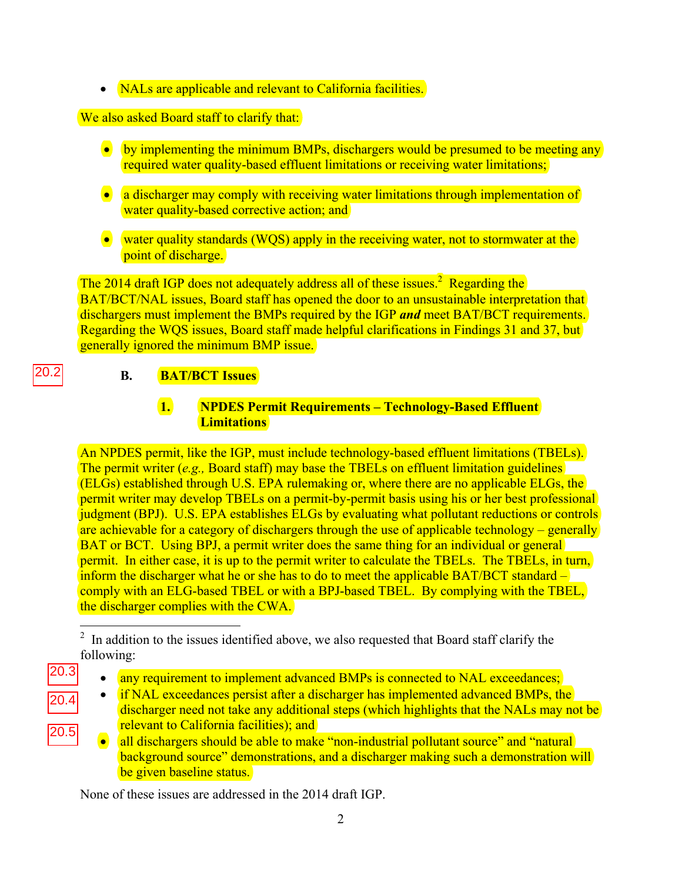• NALs are applicable and relevant to California facilities.

### We also asked Board staff to clarify that:

- by implementing the minimum BMPs, dischargers would be presumed to be meeting any required water quality-based effluent limitations or receiving water limitations;
- a discharger may comply with receiving water limitations through implementation of water quality-based corrective action; and
- water quality standards (WQS) apply in the receiving water, not to stormwater at the point of discharge.

The 2014 draft IGP does not adequately address all of these issues.<sup>2</sup> Regarding the BAT/BCT/NAL issues, Board staff has opened the door to an unsustainable interpretation that dischargers must implement the BMPs required by the IGP *and* meet BAT/BCT requirements. Regarding the WQS issues, Board staff made helpful clarifications in Findings 31 and 37, but generally ignored the minimum BMP issue.

# **B. BAT/BCT Issues**

## **1. NPDES Permit Requirements – Technology-Based Effluent Limitations**

An NPDES permit, like the IGP, must include technology-based effluent limitations (TBELs). The permit writer (*e.g.,* Board staff) may base the TBELs on effluent limitation guidelines (ELGs) established through U.S. EPA rulemaking or, where there are no applicable ELGs, the permit writer may develop TBELs on a permit-by-permit basis using his or her best professional judgment (BPJ). U.S. EPA establishes ELGs by evaluating what pollutant reductions or controls are achievable for a category of dischargers through the use of applicable technology – generally BAT or BCT. Using BPJ, a permit writer does the same thing for an individual or general permit. In either case, it is up to the permit writer to calculate the TBELs. The TBELs, in turn, inform the discharger what he or she has to do to meet the applicable BAT/BCT standard – comply with an ELG-based TBEL or with a BPJ-based TBEL. By complying with the TBEL, the discharger complies with the CWA.

- any requirement to implement advanced BMPs is connected to NAL exceedances;
- $\bullet$  if NAL exceedances persist after a discharger has implemented advanced BMPs, the discharger need not take any additional steps (which highlights that the NALs may not be relevant to California facilities); and
	- all dischargers should be able to make "non-industrial pollutant source" and "natural background source" demonstrations, and a discharger making such a demonstration will be given baseline status.

None of these issues are addressed in the 2014 draft IGP.

20.4

 $20.3$ 

20.5

<sup>&</sup>lt;sup>2</sup> In addition to the issues identified above, we also requested that Board staff clarify the following: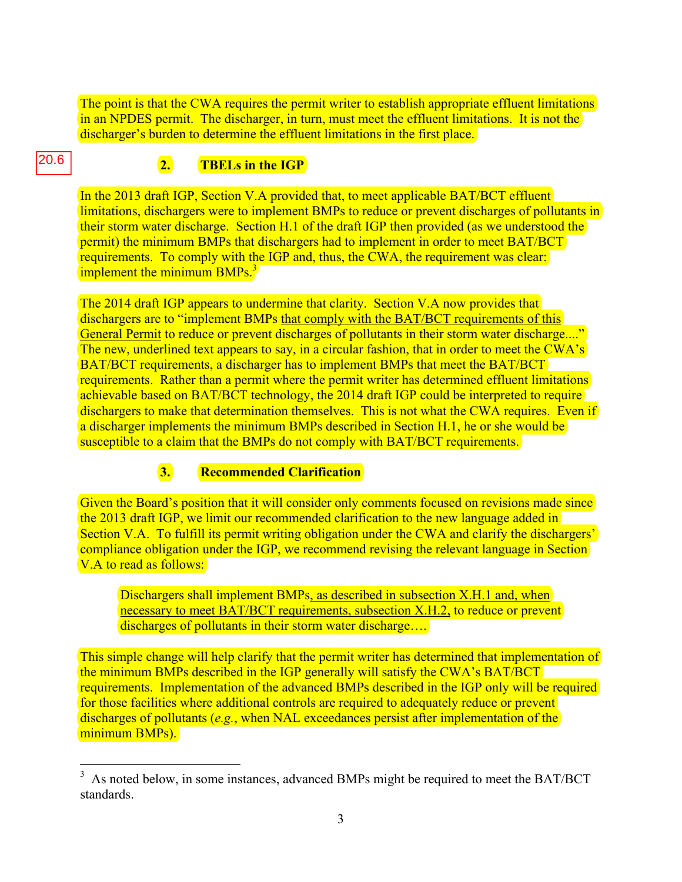The point is that the CWA requires the permit writer to establish appropriate effluent limitations in an NPDES permit. The discharger, in turn, must meet the effluent limitations. It is not the discharger's burden to determine the effluent limitations in the first place.

# **2. TBELs in the IGP**

In the 2013 draft IGP, Section V.A provided that, to meet applicable BAT/BCT effluent limitations, dischargers were to implement BMPs to reduce or prevent discharges of pollutants in their storm water discharge. Section H.1 of the draft IGP then provided (as we understood the permit) the minimum BMPs that dischargers had to implement in order to meet BAT/BCT requirements. To comply with the IGP and, thus, the CWA, the requirement was clear: implement the minimum  $BMPs.<sup>3</sup>$ 

The 2014 draft IGP appears to undermine that clarity. Section V.A now provides that dischargers are to "implement BMPs that comply with the BAT/BCT requirements of this General Permit to reduce or prevent discharges of pollutants in their storm water discharge...." The new, underlined text appears to say, in a circular fashion, that in order to meet the CWA's BAT/BCT requirements, a discharger has to implement BMPs that meet the BAT/BCT requirements. Rather than a permit where the permit writer has determined effluent limitations achievable based on BAT/BCT technology, the 2014 draft IGP could be interpreted to require dischargers to make that determination themselves. This is not what the CWA requires. Even if a discharger implements the minimum BMPs described in Section H.1, he or she would be susceptible to a claim that the BMPs do not comply with BAT/BCT requirements.

### **3. Recommended Clarification**

1

20.6

Given the Board's position that it will consider only comments focused on revisions made since the 2013 draft IGP, we limit our recommended clarification to the new language added in Section V.A. To fulfill its permit writing obligation under the CWA and clarify the dischargers' compliance obligation under the IGP, we recommend revising the relevant language in Section V.A to read as follows:

Dischargers shall implement BMPs, as described in subsection X.H.1 and, when necessary to meet BAT/BCT requirements, subsection X.H.2, to reduce or prevent discharges of pollutants in their storm water discharge….

This simple change will help clarify that the permit writer has determined that implementation of the minimum BMPs described in the IGP generally will satisfy the CWA's BAT/BCT requirements. Implementation of the advanced BMPs described in the IGP only will be required for those facilities where additional controls are required to adequately reduce or prevent discharges of pollutants (*e.g.*, when NAL exceedances persist after implementation of the minimum BMPs).

 $3\,$  As noted below, in some instances, advanced BMPs might be required to meet the BAT/BCT standards.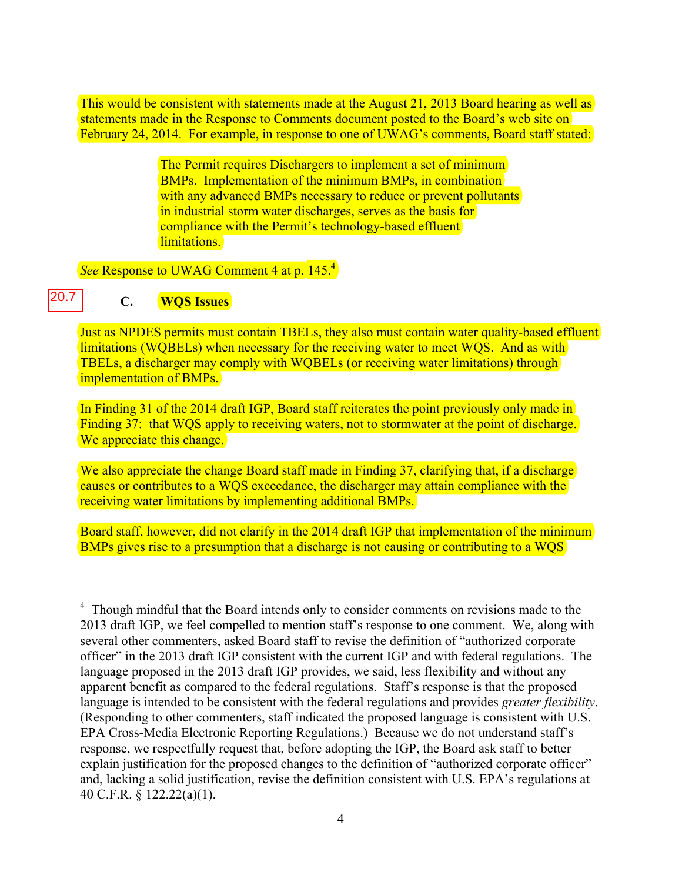This would be consistent with statements made at the August 21, 2013 Board hearing as well as statements made in the Response to Comments document posted to the Board's web site on February 24, 2014. For example, in response to one of UWAG's comments, Board staff stated:

> The Permit requires Dischargers to implement a set of minimum BMPs. Implementation of the minimum BMPs, in combination with any advanced BMPs necessary to reduce or prevent pollutants in industrial storm water discharges, serves as the basis for compliance with the Permit's technology-based effluent limitations.

*See* Response to UWAG Comment 4 at p. 145.<sup>4</sup>

#### **C. WQS Issues**  20.7

Just as NPDES permits must contain TBELs, they also must contain water quality-based effluent limitations (WQBELs) when necessary for the receiving water to meet WQS. And as with TBELs, a discharger may comply with WQBELs (or receiving water limitations) through implementation of BMPs.

In Finding 31 of the 2014 draft IGP, Board staff reiterates the point previously only made in Finding 37: that WOS apply to receiving waters, not to stormwater at the point of discharge. We appreciate this change.

We also appreciate the change Board staff made in Finding 37, clarifying that, if a discharge causes or contributes to a WQS exceedance, the discharger may attain compliance with the receiving water limitations by implementing additional BMPs.

Board staff, however, did not clarify in the 2014 draft IGP that implementation of the minimum BMPs gives rise to a presumption that a discharge is not causing or contributing to a WQS

<sup>&</sup>lt;sup>4</sup> Though mindful that the Board intends only to consider comments on revisions made to the 2013 draft IGP, we feel compelled to mention staff's response to one comment. We, along with several other commenters, asked Board staff to revise the definition of "authorized corporate officer" in the 2013 draft IGP consistent with the current IGP and with federal regulations. The language proposed in the 2013 draft IGP provides, we said, less flexibility and without any apparent benefit as compared to the federal regulations. Staff's response is that the proposed language is intended to be consistent with the federal regulations and provides *greater flexibility*. (Responding to other commenters, staff indicated the proposed language is consistent with U.S. EPA Cross-Media Electronic Reporting Regulations.) Because we do not understand staff's response, we respectfully request that, before adopting the IGP, the Board ask staff to better explain justification for the proposed changes to the definition of "authorized corporate officer" and, lacking a solid justification, revise the definition consistent with U.S. EPA's regulations at 40 C.F.R. § 122.22(a)(1).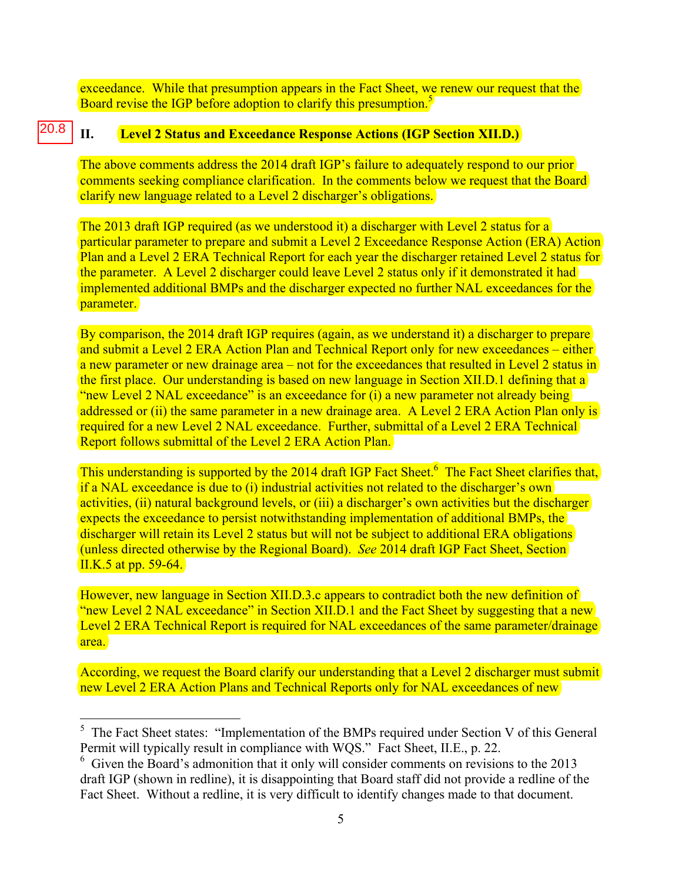exceedance. While that presumption appears in the Fact Sheet, we renew our request that the Board revise the IGP before adoption to clarify this presumption.<sup>5</sup>

#### **II. Level 2 Status and Exceedance Response Actions (IGP Section XII.D.)**  20.8

The above comments address the 2014 draft IGP's failure to adequately respond to our prior comments seeking compliance clarification. In the comments below we request that the Board clarify new language related to a Level 2 discharger's obligations.

The 2013 draft IGP required (as we understood it) a discharger with Level 2 status for a particular parameter to prepare and submit a Level 2 Exceedance Response Action (ERA) Action Plan and a Level 2 ERA Technical Report for each year the discharger retained Level 2 status for the parameter. A Level 2 discharger could leave Level 2 status only if it demonstrated it had implemented additional BMPs and the discharger expected no further NAL exceedances for the parameter.

By comparison, the 2014 draft IGP requires (again, as we understand it) a discharger to prepare and submit a Level 2 ERA Action Plan and Technical Report only for new exceedances – either a new parameter or new drainage area – not for the exceedances that resulted in Level 2 status in the first place. Our understanding is based on new language in Section XII.D.1 defining that a "new Level 2 NAL exceedance" is an exceedance for (i) a new parameter not already being addressed or (ii) the same parameter in a new drainage area. A Level 2 ERA Action Plan only is required for a new Level 2 NAL exceedance. Further, submittal of a Level 2 ERA Technical Report follows submittal of the Level 2 ERA Action Plan.

This understanding is supported by the 2014 draft IGP Fact Sheet.<sup>6</sup> The Fact Sheet clarifies that, if a NAL exceedance is due to (i) industrial activities not related to the discharger's own activities, (ii) natural background levels, or (iii) a discharger's own activities but the discharger expects the exceedance to persist notwithstanding implementation of additional BMPs, the discharger will retain its Level 2 status but will not be subject to additional ERA obligations (unless directed otherwise by the Regional Board). *See* 2014 draft IGP Fact Sheet, Section II.K.5 at pp. 59-64.

However, new language in Section XII.D.3.c appears to contradict both the new definition of "new Level 2 NAL exceedance" in Section XII.D.1 and the Fact Sheet by suggesting that a new Level 2 ERA Technical Report is required for NAL exceedances of the same parameter/drainage area.

According, we request the Board clarify our understanding that a Level 2 discharger must submit new Level 2 ERA Action Plans and Technical Reports only for NAL exceedances of new

 $\overline{a}$ 

 $<sup>5</sup>$  The Fact Sheet states: "Implementation of the BMPs required under Section V of this General</sup> Permit will typically result in compliance with WQS." Fact Sheet, II.E., p. 22.

<sup>&</sup>lt;sup>6</sup> Given the Board's admonition that it only will consider comments on revisions to the 2013 draft IGP (shown in redline), it is disappointing that Board staff did not provide a redline of the Fact Sheet. Without a redline, it is very difficult to identify changes made to that document.